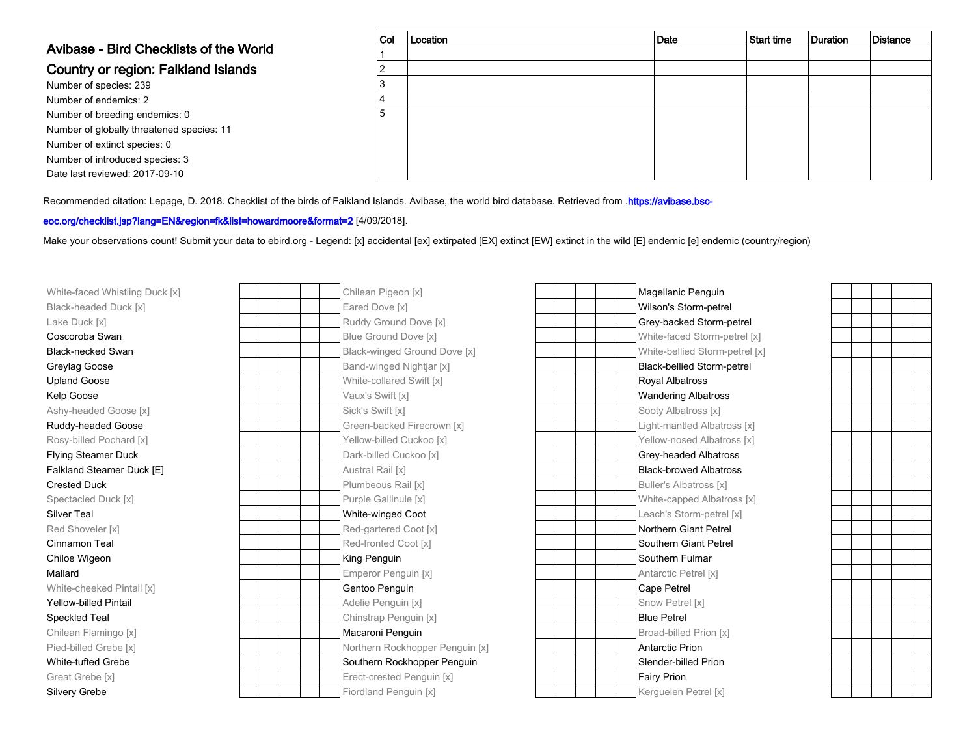## Avibase - Bird Checklists of the World

## Country or region: Falkland Islands

Number of species: 239 Number of endemics: 2 Number of breeding endemics: 0 Number of globally threatened species: 11Number of extinct species: 0 Number of introduced species: 3Date last reviewed: 2017-09-10

| $ $ Col | Location | Date | Start time | Duration | <b>Distance</b> |
|---------|----------|------|------------|----------|-----------------|
|         |          |      |            |          |                 |
|         |          |      |            |          |                 |
| 3       |          |      |            |          |                 |
| 4       |          |      |            |          |                 |
| 5       |          |      |            |          |                 |
|         |          |      |            |          |                 |
|         |          |      |            |          |                 |
|         |          |      |            |          |                 |
|         |          |      |            |          |                 |

Recommended citation: Lepage, D. 2018. Checklist of the birds of Falkland Islands. Avibase, the world bird database. Retrieved from .[https://avibase.bsc-](https://avibase.bsc-eoc.org/checklist.jsp?lang=EN®ion=fk&list=howardmoore&format=2)

## [eoc.org/checklist.jsp?lang=EN&region=fk&list=howardmoore&format=2](https://avibase.bsc-eoc.org/checklist.jsp?lang=EN®ion=fk&list=howardmoore&format=2) [4/09/2018].

Make your observations count! Submit your data to [ebird.org](https://ebird.org) - Legend: [x] accidental [ex] extirpated [EX] extinct [EW] extinct in the wild [E] endemic [e] endemic (country/region)

| White-faced Whistling Duck [x] |  | Chilean Pigeon [x]              | Magellanic Penguin                |
|--------------------------------|--|---------------------------------|-----------------------------------|
| Black-headed Duck [x]          |  | Eared Dove [x]                  | Wilson's Storm-petrel             |
| Lake Duck [x]                  |  | Ruddy Ground Dove [x]           | Grey-backed Storm-petrel          |
| Coscoroba Swan                 |  | Blue Ground Dove [x]            | White-faced Storm-petrel [x]      |
| <b>Black-necked Swan</b>       |  | Black-winged Ground Dove [x]    | White-bellied Storm-petrel [x]    |
| Greylag Goose                  |  | Band-winged Nightjar [x]        | <b>Black-bellied Storm-petrel</b> |
| <b>Upland Goose</b>            |  | White-collared Swift [x]        | Royal Albatross                   |
| Kelp Goose                     |  | Vaux's Swift [x]                | <b>Wandering Albatross</b>        |
| Ashy-headed Goose [x]          |  | Sick's Swift [x]                | Sooty Albatross [x]               |
| Ruddy-headed Goose             |  | Green-backed Firecrown [x]      | Light-mantled Albatross [x]       |
| Rosy-billed Pochard [x]        |  | Yellow-billed Cuckoo [x]        | Yellow-nosed Albatross [x]        |
| <b>Flying Steamer Duck</b>     |  | Dark-billed Cuckoo [x]          | Grey-headed Albatross             |
| Falkland Steamer Duck [E]      |  | Austral Rail [x]                | <b>Black-browed Albatross</b>     |
| <b>Crested Duck</b>            |  | Plumbeous Rail [x]              | <b>Buller's Albatross [x]</b>     |
| Spectacled Duck [x]            |  | Purple Gallinule [x]            | White-capped Albatross [x]        |
| <b>Silver Teal</b>             |  | White-winged Coot               | Leach's Storm-petrel [x]          |
| Red Shoveler [x]               |  | Red-gartered Coot [x]           | Northern Giant Petrel             |
| Cinnamon Teal                  |  | Red-fronted Coot [x]            | Southern Giant Petrel             |
| Chiloe Wigeon                  |  | King Penguin                    | Southern Fulmar                   |
| Mallard                        |  | Emperor Penguin [x]             | Antarctic Petrel [x]              |
| White-cheeked Pintail [x]      |  | Gentoo Penguin                  | Cape Petrel                       |
| <b>Yellow-billed Pintail</b>   |  | Adelie Penguin [x]              | Snow Petrel [x]                   |
| Speckled Teal                  |  | Chinstrap Penguin [x]           | <b>Blue Petrel</b>                |
| Chilean Flamingo [x]           |  | Macaroni Penguin                | Broad-billed Prion [x]            |
| Pied-billed Grebe [x]          |  | Northern Rockhopper Penguin [x] | <b>Antarctic Prion</b>            |
| <b>White-tufted Grebe</b>      |  | Southern Rockhopper Penguin     | Slender-billed Prion              |
| Great Grebe [x]                |  | Erect-crested Penguin [x]       | Fairy Prion                       |
| <b>Silvery Grebe</b>           |  | Fiordland Penguin [x]           | Kerguelen Petrel [x]              |

| [x]                          | Magellanic Penguin                |
|------------------------------|-----------------------------------|
|                              | Wilson's Storm-petrel             |
| Dove [x]                     | Grey-backed Storm-petrel          |
| ove [x]                      | White-faced Storm-petrel [x]      |
| Ground Dove [x]              | White-bellied Storm-petrel [x]    |
| lightjar [x]                 | <b>Black-bellied Storm-petrel</b> |
| Swift [x]                    | <b>Royal Albatross</b>            |
|                              | <b>Wandering Albatross</b>        |
|                              | Sooty Albatross [x]               |
| Firecrown [x]                | Light-mantled Albatross [x]       |
| uckoo [x]                    | Yellow-nosed Albatross [x]        |
| koo [x]:                     | Grey-headed Albatross             |
|                              | <b>Black-browed Albatross</b>     |
| $ \left\lceil x\right\rceil$ | <b>Buller's Albatross [x]</b>     |
| e [x]                        | White-capped Albatross [x]        |
| Coot                         | Leach's Storm-petrel [x]          |
| cot [x]                      | Northern Giant Petrel             |
| ot [x]                       | Southern Giant Petrel             |
|                              | Southern Fulmar                   |
| in [x]                       | Antarctic Petrel [x]              |
| n                            | Cape Petrel                       |
| $\lceil x \rceil$            | Snow Petrel [x]                   |
| juin [x]                     | <b>Blue Petrel</b>                |
| uin                          | Broad-billed Prion [x]            |
| nopper Penguin [x]           | <b>Antarctic Prion</b>            |
| hopper Penguin               | Slender-billed Prion              |
| enguin [x]                   | Fairy Prion                       |
| uin [x]                      | Kerguelen Petrel [x]              |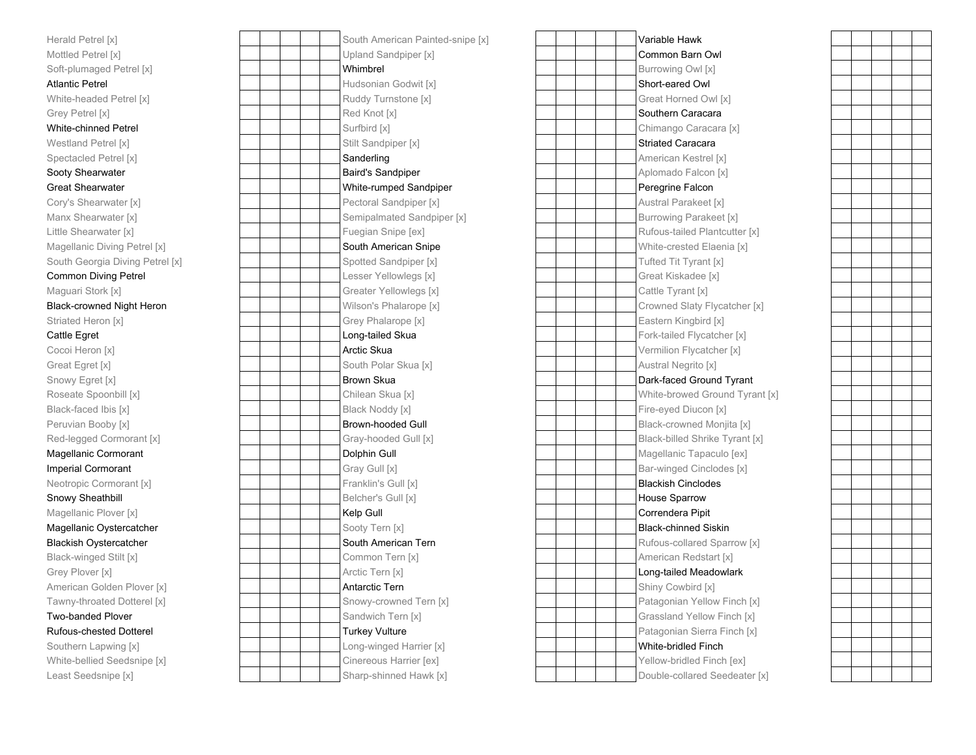| Herald Petrel [x]                |
|----------------------------------|
| Mottled Petrel [x]               |
| Soft-plumaged Petrel [x]         |
| <b>Atlantic Petrel</b>           |
| White-headed Petrel [x]          |
| Grey Petrel [x]                  |
| White-chinned Petrel             |
| Westland Petrel [x]              |
| Spectacled Petrel [x]            |
| Sooty Shearwater                 |
| <b>Great Shearwater</b>          |
| Cory's Shearwater [x]            |
| Manx Shearwater [x]              |
| Little Shearwater [x]            |
| Magellanic Diving Petrel [x]     |
| South Georgia Diving Petrel [x]  |
| <b>Common Diving Petrel</b>      |
| Maguari Stork [x]                |
| <b>Black-crowned Night Heron</b> |
| Striated Heron [x]               |
| Cattle Egret                     |
| Cocoi Heron [x]                  |
| Great Egret [x]                  |
| Snowy Egret [x]                  |
| Roseate Spoonbill [x]            |
| Black-faced Ibis [x]             |
| Peruvian Booby [x]               |
| Red-legged Cormorant [x]         |
| Magellanic Cormorant             |
| <b>Imperial Cormorant</b>        |
| Neotropic Cormorant [x]          |
| Snowy Sheathbill                 |
| Magellanic Plover [x]            |
| Magellanic Oystercatcher         |
| <b>Blackish Oystercatcher</b>    |
| Black-winged Stilt [x]           |
| Grey Plover [x]                  |
| American Golden Plover [x]       |
| Tawny-throated Dotterel [x]      |
| <b>Two-banded Plover</b>         |
| <b>Rufous-chested Dotterel</b>   |
| Southern Lapwing [x]             |
| White-bellied Seedsnipe [x]      |
| Least Seedsnipe [x]              |

| el [x]                | South American Painted-snipe [x] | Variable Hawk            |
|-----------------------|----------------------------------|--------------------------|
| rel [x]               | Upland Sandpiper [x]             | Common Barn C            |
| ged Petrel [x]        | Whimbrel                         | Burrowing Owl [:         |
| rel                   | Hudsonian Godwit [x]             | Short-eared Owl          |
| ed Petrel [x]         | Ruddy Turnstone [x]              | Great Horned O           |
| $\lbrack x \rbrack$   | Red Knot [x]                     | Southern Caraca          |
| ed Petrel             | Surfbird [x]                     | Chimango Cara            |
| etrel [x]             | Stilt Sandpiper [x]              | <b>Striated Caracar</b>  |
| Petrel [x]            | Sanderling                       | American Kestre          |
| ırwater               | <b>Baird's Sandpiper</b>         | Aplomado Falco           |
| rwater                | White-rumped Sandpiper           | Peregrine Falcor         |
| arwater [x]           | Pectoral Sandpiper [x]           | <b>Austral Parakee</b>   |
| rwater [x]            | Semipalmated Sandpiper [x]       | <b>Burrowing Parak</b>   |
| water [x]             | Fuegian Snipe [ex]               | Rufous-tailed Pla        |
| Diving Petrel [x]     | South American Snipe             | White-crested E          |
| gia Diving Petrel [x] | Spotted Sandpiper [x]            | <b>Tufted Tit Tyrant</b> |
| iving Petrel          | Lesser Yellowlegs [x]            | <b>Great Kiskadee</b>    |
| ork [x]               | Greater Yellowlegs [x]           | Cattle Tyrant [x]        |
| ned Night Heron       | Wilson's Phalarope [x]           | <b>Crowned Slaty F</b>   |
| ron [x]               | Grey Phalarope [x]               | Eastern Kingbird         |
| t                     | Long-tailed Skua                 | Fork-tailed Flyca        |
| n [x]                 | Arctic Skua                      | Vermilion Flycat         |
| t [x]                 | South Polar Skua [x]             | Austral Negrito [        |
| et[x]                 | Brown Skua                       | Dark-faced Grou          |
| [x] llidnooo          | Chilean Skua [x]                 | White-browed G           |
| l Ibis [x]            | Black Noddy [x]                  | Fire-eyed Diucor         |
| Ix] ydoc              | <b>Brown-hooded Gull</b>         | Black-crowned N          |
| Cormorant [x]         | Gray-hooded Gull [x]             | <b>Black-billed Shri</b> |
| Cormorant             | Dolphin Gull                     | Magellanic Tapa          |
| rmorant               | Gray Gull [x]                    | Bar-winged Cinc          |
| cormorant [x]         | Franklin's Gull [x]              | <b>Blackish Cincloc</b>  |
| athbill               | Belcher's Gull [x]               | House Sparrow            |
| Plover [x]            | Kelp Gull                        | Correndera Pipit         |
| Oystercatcher         | Sooty Tern [x]                   | <b>Black-chinned S</b>   |
| /stercatcher          | South American Tern              | Rufous-collared          |
| ed Stilt [x]          | Common Tern [x]                  | American Redst           |
| r [x]                 | Arctic Tern [x]                  | Long-tailed Mea          |
| Golden Plover [x]     | Antarctic Tern                   | Shiny Cowbird [:         |
| ated Dotterel [x]     | Snowy-crowned Tern [x]           | Patagonian Yello         |
| d Plover              | Sandwich Tern [x]                | Grassland Yello          |
| sted Dotterel         | <b>Turkey Vulture</b>            | Patagonian Sier          |
| apwing [x]            | Long-winged Harrier [x]          | White-bridled Fir        |
| d Seedsnipe [x]       | Cinereous Harrier [ex]           | Yellow-bridled F         |
|                       |                                  |                          |

| [x]                                             | South American Painted-snipe [x] | Variable Hawk                  |
|-------------------------------------------------|----------------------------------|--------------------------------|
| [X]                                             | Upland Sandpiper [x]             | Common Barn Owl                |
| d Petrel [x]                                    | Whimbrel                         | Burrowing Owl [x]              |
|                                                 | Hudsonian Godwit [x]             | Short-eared Owl                |
| Petrel [x]                                      | Ruddy Turnstone [x]              | Great Horned Owl [x]           |
|                                                 | Red Knot [x]                     | Southern Caracara              |
| d Petrel                                        | Surfbird [x]                     | Chimango Caracara [x]          |
| el [x]                                          | Stilt Sandpiper [x]              | <b>Striated Caracara</b>       |
| etrel [x]                                       | Sanderling                       | American Kestrel [x]           |
| ater                                            | <b>Baird's Sandpiper</b>         | Aplomado Falcon [x]            |
| ater                                            | White-rumped Sandpiper           | Peregrine Falcon               |
| vater [x]                                       | Pectoral Sandpiper [x]           | Austral Parakeet [x]           |
| ater [x]                                        | Semipalmated Sandpiper [x]       | <b>Burrowing Parakeet [x]</b>  |
| iter[x]                                         | Fuegian Snipe [ex]               | Rufous-tailed Plantcutter [x]  |
| ving Petrel [x]                                 | South American Snipe             | White-crested Elaenia [x]      |
| a Diving Petrel [x]                             | Spotted Sandpiper [x]            | Tufted Tit Tyrant [x]          |
| ng Petrel                                       | Lesser Yellowlegs [x]            | Great Kiskadee [x]             |
| : [x]                                           | Greater Yellowlegs [x]           | Cattle Tyrant [x]              |
| d Night Heron                                   | Wilson's Phalarope [x]           | Crowned Slaty Flycatcher [x]   |
| [x] ו                                           | Grey Phalarope [x]               | Eastern Kingbird [x]           |
|                                                 | Long-tailed Skua                 | Fork-tailed Flycatcher [x]     |
| x]                                              | Arctic Skua                      | Vermilion Flycatcher [x]       |
|                                                 | South Polar Skua [x]             | Austral Negrito [x]            |
| [x]                                             | <b>Brown Skua</b>                | Dark-faced Ground Tyrant       |
| Ix] llidno                                      | Chilean Skua [x]                 | White-browed Ground Tyrant [x] |
| $\overline{\text{dis}}$ $\overline{\text{[x]}}$ | Black Noddy [x]                  | Fire-eyed Diucon [x]           |
| by [x]                                          | Brown-hooded Gull                | Black-crowned Monjita [x]      |
| ormorant [x]                                    | Gray-hooded Gull [x]             | Black-billed Shrike Tyrant [x] |
| <sub>ormorant</sub>                             | Dolphin Gull                     | Magellanic Tapaculo [ex]       |
| ıorant                                          | Gray Gull [x]                    | Bar-winged Cinclodes [x]       |
| morant [x]                                      | Franklin's Gull [x]              | <b>Blackish Cinclodes</b>      |
| llidr                                           | Belcher's Gull [x]               | House Sparrow                  |
| over [x]                                        | Kelp Gull                        | Correndera Pipit               |
| stercatcher                                     | Sooty Tern [x]                   | <b>Black-chinned Siskin</b>    |
| ercatcher                                       | South American Tern              | Rufous-collared Sparrow [x]    |
| Stilt [x]                                       | Common Tern [x]                  | American Redstart [x]          |
| d.                                              | Arctic Tern [x]                  | Long-tailed Meadowlark         |
| den Plover [x]                                  | Antarctic Tern                   | Shiny Cowbird [x]              |
| ed Dotterel [x]                                 | Snowy-crowned Tern [x]           | Patagonian Yellow Finch [x]    |
| Plover                                          | Sandwich Tern [x]                | Grassland Yellow Finch [x]     |
| ed Dotterel                                     | <b>Turkey Vulture</b>            | Patagonian Sierra Finch [x]    |
| wing [x]                                        | Long-winged Harrier [x]          | White-bridled Finch            |
| Seedsnipe [x]                                   | Cinereous Harrier [ex]           | Yellow-bridled Finch [ex]      |
| ipe [x]                                         | Sharp-shinned Hawk [x]           | Double-collared Seedeater [x]  |
|                                                 |                                  |                                |